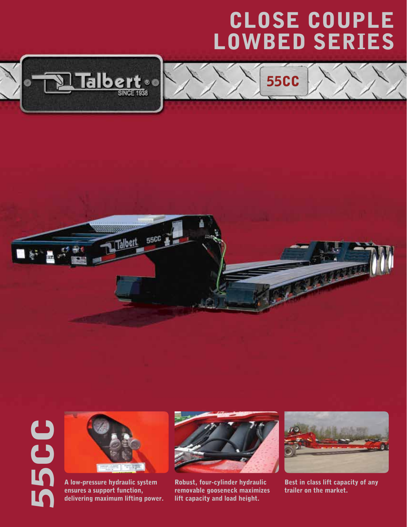## CLOSE COUPLE LOWBED Series

55CC







1 Talbert

**55CC** 

A low-pressure hydraulic system ensures a support function, delivering maximum lifting power.



Robust, four-cylinder hydraulic removable gooseneck maximizes lift capacity and load height.



Best in class lift capacity of any trailer on the market.